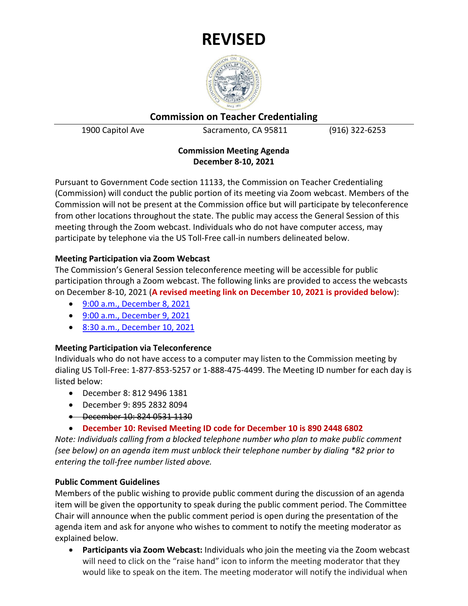

**Commission on Teacher Credentialing**

1900 Capitol Ave Sacramento, CA 95811 (916) 322-6253

# **Commission Meeting Agenda December 8-10, 2021**

Pursuant to Government Code section 11133, the Commission on Teacher Credentialing (Commission) will conduct the public portion of its meeting via Zoom webcast. Members of the Commission will not be present at the Commission office but will participate by teleconference from other locations throughout the state. The public may access the General Session of this meeting through the Zoom webcast. Individuals who do not have computer access, may participate by telephone via the US Toll-Free call-in numbers delineated below.

# **Meeting Participation via Zoom Webcast**

The Commission's General Session teleconference meeting will be accessible for public participation through a Zoom webcast. The following links are provided to access the webcasts on December 8-10, 2021 (**A revised meeting link on December 10, 2021 is provided below**):

- [9:00 a.m., December 8, 2021](https://us02web.zoom.us/j/81294961381)
- [9:00 a.m., December 9, 2021](https://us02web.zoom.us/j/89528328094)
- [8:30 a.m., December 10, 2021](https://us02web.zoom.us/j/89024486802?pwd=RldDMFQwWnJXVnZIZitUK3FFWkNQdz09)

# **Meeting Participation via Teleconference**

Individuals who do not have access to a computer may listen to the Commission meeting by dialing US Toll-Free: 1-877-853-5257 or 1-888-475-4499. The Meeting ID number for each day is listed below:

- December 8: 812 9496 1381
- December 9: 895 2832 8094
- December 10: 824 0531 1130
- **December 10: Revised Meeting ID code for December 10 is 890 2448 6802**

*Note: Individuals calling from a blocked telephone number who plan to make public comment (see below) on an agenda item must unblock their telephone number by dialing \*82 prior to entering the toll-free number listed above.*

# **Public Comment Guidelines**

Members of the public wishing to provide public comment during the discussion of an agenda item will be given the opportunity to speak during the public comment period. The Committee Chair will announce when the public comment period is open during the presentation of the agenda item and ask for anyone who wishes to comment to notify the meeting moderator as explained below.

• **Participants via Zoom Webcast:** Individuals who join the meeting via the Zoom webcast will need to click on the "raise hand" icon to inform the meeting moderator that they would like to speak on the item. The meeting moderator will notify the individual when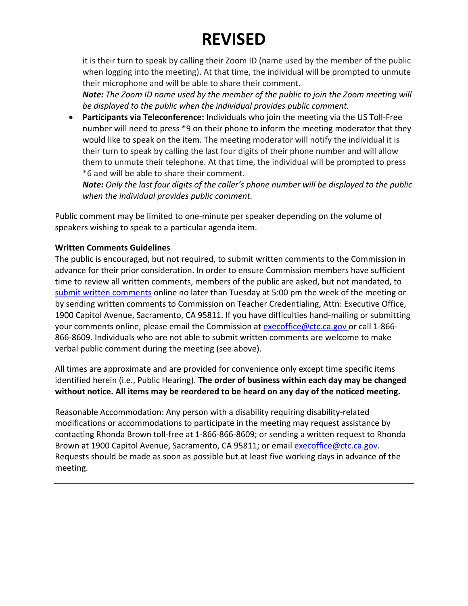it is their turn to speak by calling their Zoom ID (name used by the member of the public when logging into the meeting). At that time, the individual will be prompted to unmute their microphone and will be able to share their comment.

*Note: The Zoom ID name used by the member of the public to join the Zoom meeting will be displayed to the public when the individual provides public comment.* 

• **Participants via Teleconference:** Individuals who join the meeting via the US Toll-Free number will need to press \*9 on their phone to inform the meeting moderator that they would like to speak on the item. The meeting moderator will notify the individual it is their turn to speak by calling the last four digits of their phone number and will allow them to unmute their telephone. At that time, the individual will be prompted to press \*6 and will be able to share their comment.

*Note: Only the last four digits of the caller's phone number will be displayed to the public when the individual provides public comment.*

Public comment may be limited to one-minute per speaker depending on the volume of speakers wishing to speak to a particular agenda item.

# **Written Comments Guidelines**

The public is encouraged, but not required, to submit written comments to the Commission in advance for their prior consideration. In order to ensure Commission members have sufficient time to review all written comments, members of the public are asked, but not mandated, to [submit written comments](https://public.ctc.ca.gov/Meetings/PublicComment/Submit/11) online no later than Tuesday at 5:00 pm the week of the meeting or by sending written comments to Commission on Teacher Credentialing, Attn: Executive Office, 1900 Capitol Avenue, Sacramento, CA 95811. If you have difficulties hand-mailing or submitting your comments online, please email the Commission at [execoffice@ctc.ca.gov](mailto:execoffice@ctc.ca.gov) or call 1-866- 866-8609. Individuals who are not able to submit written comments are welcome to make verbal public comment during the meeting (see above).

All times are approximate and are provided for convenience only except time specific items identified herein (i.e., Public Hearing). **The order of business within each day may be changed without notice. All items may be reordered to be heard on any day of the noticed meeting.** 

Reasonable Accommodation: Any person with a disability requiring disability-related modifications or accommodations to participate in the meeting may request assistance by contacting Rhonda Brown toll-free at 1-866-866-8609; or sending a written request to Rhonda Brown at 1900 Capitol Avenue, Sacramento, CA 95811; or email [execoffice@ctc.ca.gov.](mailto:execoffice@ctc.ca.gov) Requests should be made as soon as possible but at least five working days in advance of the meeting.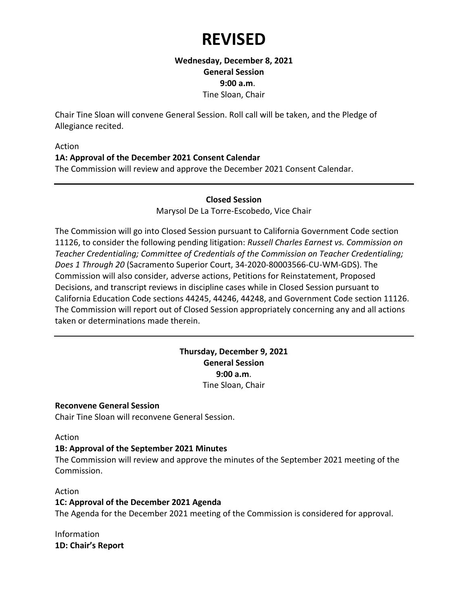**Wednesday, December 8, 2021 General Session 9:00 a.m**. Tine Sloan, Chair

Chair Tine Sloan will convene General Session. Roll call will be taken, and the Pledge of Allegiance recited.

#### Action

#### **1A: Approval of the December 2021 Consent Calendar**

The Commission will review and approve the December 2021 Consent Calendar.

#### **Closed Session**

Marysol De La Torre-Escobedo, Vice Chair

The Commission will go into Closed Session pursuant to California Government Code section 11126, to consider the following pending litigation: *Russell Charles Earnest vs. Commission on Teacher Credentialing; Committee of Credentials of the Commission on Teacher Credentialing; Does 1 Through 20* (Sacramento Superior Court, 34-2020-80003566-CU-WM-GDS). The Commission will also consider, adverse actions, Petitions for Reinstatement, Proposed Decisions, and transcript reviews in discipline cases while in Closed Session pursuant to California Education Code sections 44245, 44246, 44248, and Government Code section 11126. The Commission will report out of Closed Session appropriately concerning any and all actions taken or determinations made therein.

## **Thursday, December 9, 2021 General Session 9:00 a.m**. Tine Sloan, Chair

#### **Reconvene General Session**

Chair Tine Sloan will reconvene General Session.

#### Action

#### **1B: Approval of the September 2021 Minutes**

The Commission will review and approve the minutes of the September 2021 meeting of the Commission.

#### Action

#### **1C: Approval of the December 2021 Agenda**

The Agenda for the December 2021 meeting of the Commission is considered for approval.

Information **1D: Chair's Report**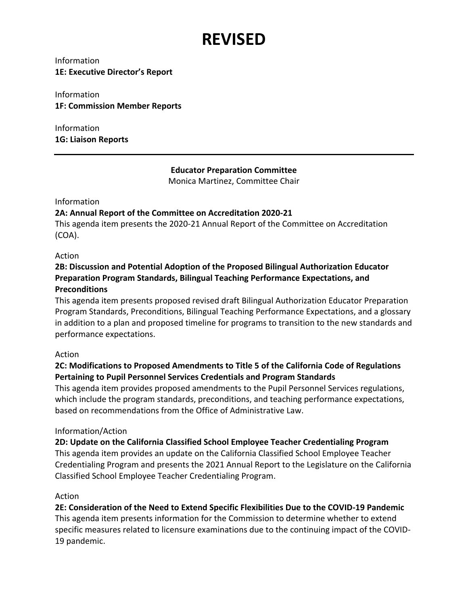Information **1E: Executive Director's Report**

Information **1F: Commission Member Reports**

Information **1G: Liaison Reports**

# **Educator Preparation Committee**

Monica Martinez, Committee Chair

Information

## **2A: Annual Report of the Committee on Accreditation 2020-21**

This agenda item presents the 2020-21 Annual Report of the Committee on Accreditation (COA).

## Action

# **2B: Discussion and Potential Adoption of the Proposed Bilingual Authorization Educator Preparation Program Standards, Bilingual Teaching Performance Expectations, and Preconditions**

This agenda item presents proposed revised draft Bilingual Authorization Educator Preparation Program Standards, Preconditions, Bilingual Teaching Performance Expectations, and a glossary in addition to a plan and proposed timeline for programs to transition to the new standards and performance expectations.

## Action

# **2C: Modifications to Proposed Amendments to Title 5 of the California Code of Regulations Pertaining to Pupil Personnel Services Credentials and Program Standards**

This agenda item provides proposed amendments to the Pupil Personnel Services regulations, which include the program standards, preconditions, and teaching performance expectations, based on recommendations from the Office of Administrative Law.

## Information/Action

**2D: Update on the California Classified School Employee Teacher Credentialing Program** This agenda item provides an update on the California Classified School Employee Teacher Credentialing Program and presents the 2021 Annual Report to the Legislature on the California Classified School Employee Teacher Credentialing Program.

## Action

**2E: Consideration of the Need to Extend Specific Flexibilities Due to the COVID-19 Pandemic** This agenda item presents information for the Commission to determine whether to extend specific measures related to licensure examinations due to the continuing impact of the COVID-19 pandemic.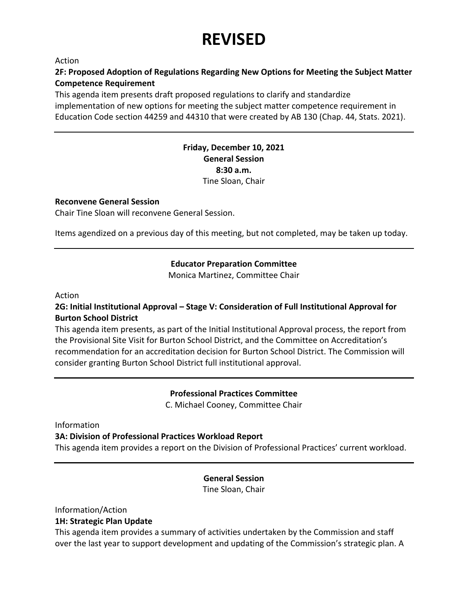Action

## **2F: Proposed Adoption of Regulations Regarding New Options for Meeting the Subject Matter Competence Requirement**

This agenda item presents draft proposed regulations to clarify and standardize implementation of new options for meeting the subject matter competence requirement in Education Code section 44259 and 44310 that were created by AB 130 (Chap. 44, Stats. 2021).

## **Friday, December 10, 2021 General Session 8:30 a.m.** Tine Sloan, Chair

#### **Reconvene General Session**

Chair Tine Sloan will reconvene General Session.

Items agendized on a previous day of this meeting, but not completed, may be taken up today.

# **Educator Preparation Committee**

Monica Martinez, Committee Chair

Action

## **2G: Initial Institutional Approval – Stage V: Consideration of Full Institutional Approval for Burton School District**

This agenda item presents, as part of the Initial Institutional Approval process, the report from the Provisional Site Visit for Burton School District, and the Committee on Accreditation's recommendation for an accreditation decision for Burton School District. The Commission will consider granting Burton School District full institutional approval.

> **Professional Practices Committee** C. Michael Cooney, Committee Chair

Information

#### **3A: Division of Professional Practices Workload Report**

This agenda item provides a report on the Division of Professional Practices' current workload.

## **General Session**

Tine Sloan, Chair

Information/Action

## **1H: Strategic Plan Update**

This agenda item provides a summary of activities undertaken by the Commission and staff over the last year to support development and updating of the Commission's strategic plan. A